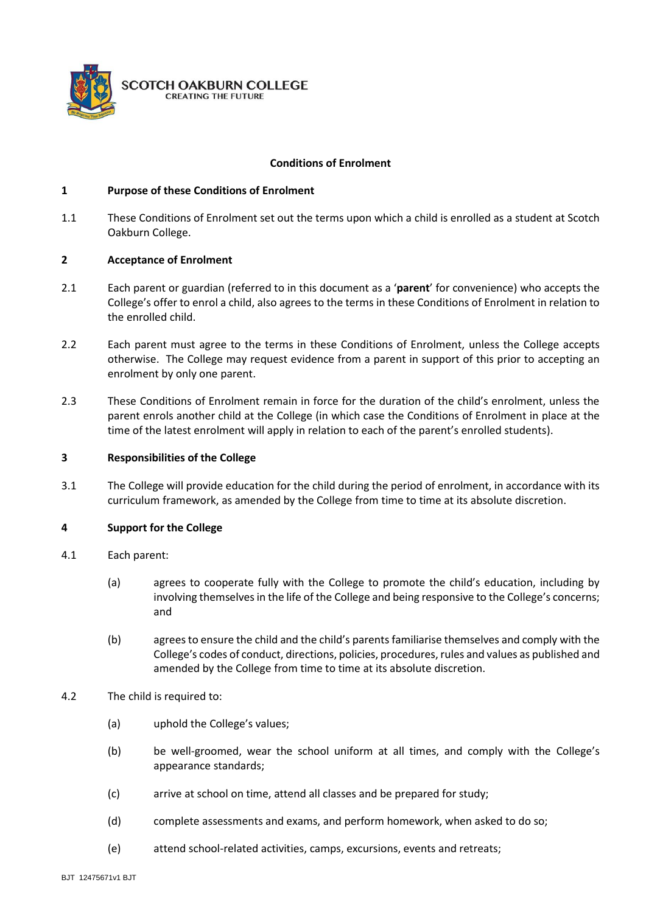

## **Conditions of Enrolment**

### **1 Purpose of these Conditions of Enrolment**

1.1 These Conditions of Enrolment set out the terms upon which a child is enrolled as a student at Scotch Oakburn College.

### **2 Acceptance of Enrolment**

- 2.1 Each parent or guardian (referred to in this document as a '**parent**' for convenience) who accepts the College's offer to enrol a child, also agrees to the terms in these Conditions of Enrolment in relation to the enrolled child.
- 2.2 Each parent must agree to the terms in these Conditions of Enrolment, unless the College accepts otherwise. The College may request evidence from a parent in support of this prior to accepting an enrolment by only one parent.
- 2.3 These Conditions of Enrolment remain in force for the duration of the child's enrolment, unless the parent enrols another child at the College (in which case the Conditions of Enrolment in place at the time of the latest enrolment will apply in relation to each of the parent's enrolled students).

### **3 Responsibilities of the College**

3.1 The College will provide education for the child during the period of enrolment, in accordance with its curriculum framework, as amended by the College from time to time at its absolute discretion.

## **4 Support for the College**

- 4.1 Each parent:
	- (a) agrees to cooperate fully with the College to promote the child's education, including by involving themselves in the life of the College and being responsive to the College's concerns; and
	- (b) agrees to ensure the child and the child's parents familiarise themselves and comply with the College's codes of conduct, directions, policies, procedures, rules and values as published and amended by the College from time to time at its absolute discretion.
- 4.2 The child is required to:
	- (a) uphold the College's values;
	- (b) be well-groomed, wear the school uniform at all times, and comply with the College's appearance standards;
	- (c) arrive at school on time, attend all classes and be prepared for study;
	- (d) complete assessments and exams, and perform homework, when asked to do so;
	- (e) attend school-related activities, camps, excursions, events and retreats;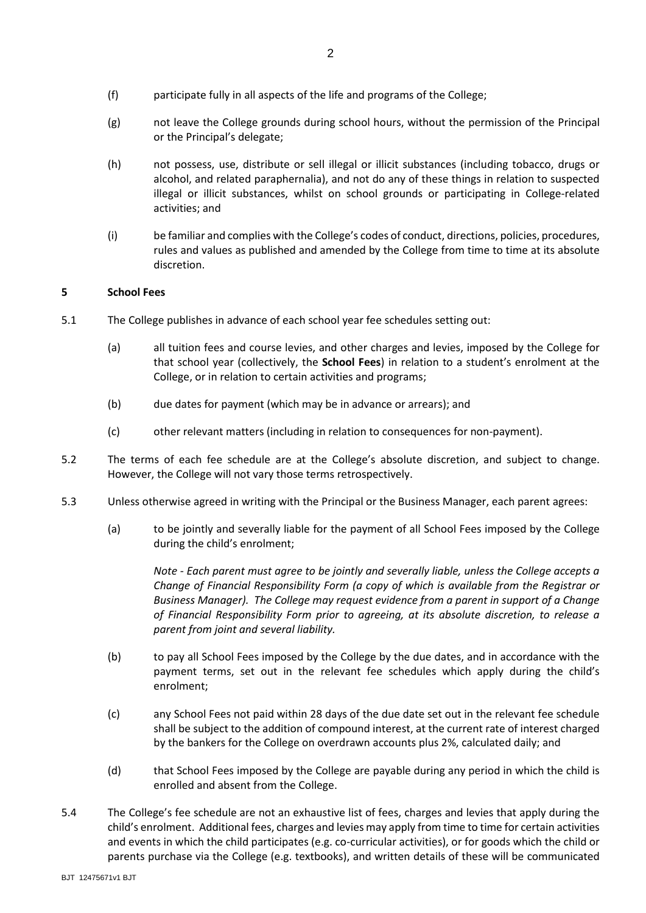- (g) not leave the College grounds during school hours, without the permission of the Principal or the Principal's delegate;
- (h) not possess, use, distribute or sell illegal or illicit substances (including tobacco, drugs or alcohol, and related paraphernalia), and not do any of these things in relation to suspected illegal or illicit substances, whilst on school grounds or participating in College-related activities; and
- (i) be familiar and complies with the College's codes of conduct, directions, policies, procedures, rules and values as published and amended by the College from time to time at its absolute discretion.

## **5 School Fees**

- 5.1 The College publishes in advance of each school year fee schedules setting out:
	- (a) all tuition fees and course levies, and other charges and levies, imposed by the College for that school year (collectively, the **School Fees**) in relation to a student's enrolment at the College, or in relation to certain activities and programs;
	- (b) due dates for payment (which may be in advance or arrears); and
	- (c) other relevant matters (including in relation to consequences for non-payment).
- 5.2 The terms of each fee schedule are at the College's absolute discretion, and subject to change. However, the College will not vary those terms retrospectively.
- 5.3 Unless otherwise agreed in writing with the Principal or the Business Manager, each parent agrees:
	- (a) to be jointly and severally liable for the payment of all School Fees imposed by the College during the child's enrolment;

*Note - Each parent must agree to be jointly and severally liable, unless the College accepts a Change of Financial Responsibility Form (a copy of which is available from the Registrar or Business Manager). The College may request evidence from a parent in support of a Change of Financial Responsibility Form prior to agreeing, at its absolute discretion, to release a parent from joint and several liability.*

- (b) to pay all School Fees imposed by the College by the due dates, and in accordance with the payment terms, set out in the relevant fee schedules which apply during the child's enrolment;
- (c) any School Fees not paid within 28 days of the due date set out in the relevant fee schedule shall be subject to the addition of compound interest, at the current rate of interest charged by the bankers for the College on overdrawn accounts plus 2%, calculated daily; and
- (d) that School Fees imposed by the College are payable during any period in which the child is enrolled and absent from the College.
- 5.4 The College's fee schedule are not an exhaustive list of fees, charges and levies that apply during the child's enrolment. Additional fees, charges and levies may apply from time to time for certain activities and events in which the child participates (e.g. co-curricular activities), or for goods which the child or parents purchase via the College (e.g. textbooks), and written details of these will be communicated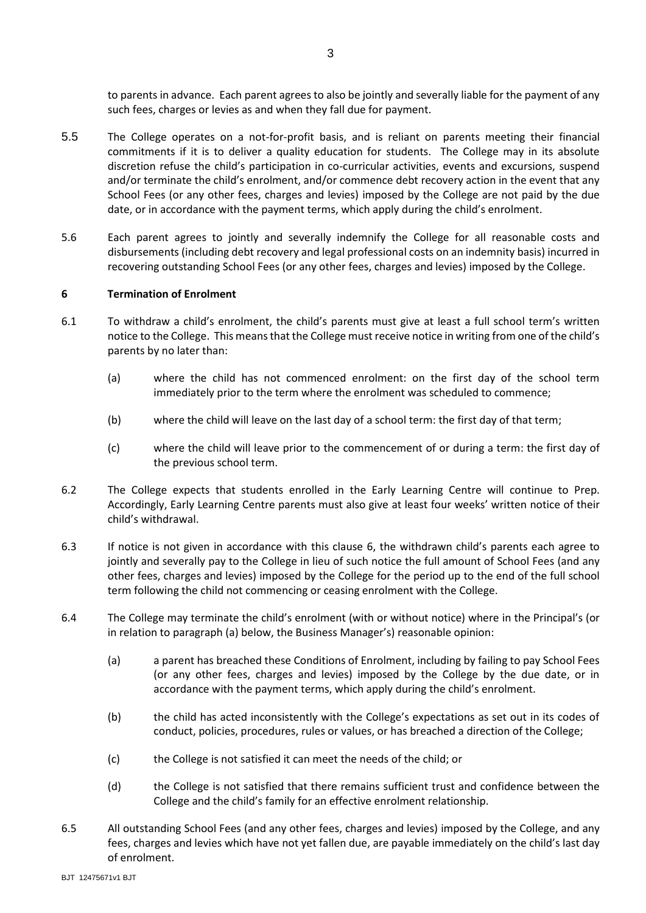to parents in advance. Each parent agrees to also be jointly and severally liable for the payment of any such fees, charges or levies as and when they fall due for payment.

- 5.5 The College operates on a not-for-profit basis, and is reliant on parents meeting their financial commitments if it is to deliver a quality education for students. The College may in its absolute discretion refuse the child's participation in co-curricular activities, events and excursions, suspend and/or terminate the child's enrolment, and/or commence debt recovery action in the event that any School Fees (or any other fees, charges and levies) imposed by the College are not paid by the due date, or in accordance with the payment terms, which apply during the child's enrolment.
- 5.6 Each parent agrees to jointly and severally indemnify the College for all reasonable costs and disbursements (including debt recovery and legal professional costs on an indemnity basis) incurred in recovering outstanding School Fees (or any other fees, charges and levies) imposed by the College.

## **6 Termination of Enrolment**

- 6.1 To withdraw a child's enrolment, the child's parents must give at least a full school term's written notice to the College. This means that the College must receive notice in writing from one of the child's parents by no later than:
	- (a) where the child has not commenced enrolment: on the first day of the school term immediately prior to the term where the enrolment was scheduled to commence;
	- (b) where the child will leave on the last day of a school term: the first day of that term;
	- (c) where the child will leave prior to the commencement of or during a term: the first day of the previous school term.
- 6.2 The College expects that students enrolled in the Early Learning Centre will continue to Prep. Accordingly, Early Learning Centre parents must also give at least four weeks' written notice of their child's withdrawal.
- 6.3 If notice is not given in accordance with this clause 6, the withdrawn child's parents each agree to jointly and severally pay to the College in lieu of such notice the full amount of School Fees (and any other fees, charges and levies) imposed by the College for the period up to the end of the full school term following the child not commencing or ceasing enrolment with the College.
- 6.4 The College may terminate the child's enrolment (with or without notice) where in the Principal's (or in relation to paragraph (a) below, the Business Manager's) reasonable opinion:
	- (a) a parent has breached these Conditions of Enrolment, including by failing to pay School Fees (or any other fees, charges and levies) imposed by the College by the due date, or in accordance with the payment terms, which apply during the child's enrolment.
	- (b) the child has acted inconsistently with the College's expectations as set out in its codes of conduct, policies, procedures, rules or values, or has breached a direction of the College;
	- (c) the College is not satisfied it can meet the needs of the child; or
	- (d) the College is not satisfied that there remains sufficient trust and confidence between the College and the child's family for an effective enrolment relationship.
- 6.5 All outstanding School Fees (and any other fees, charges and levies) imposed by the College, and any fees, charges and levies which have not yet fallen due, are payable immediately on the child's last day of enrolment.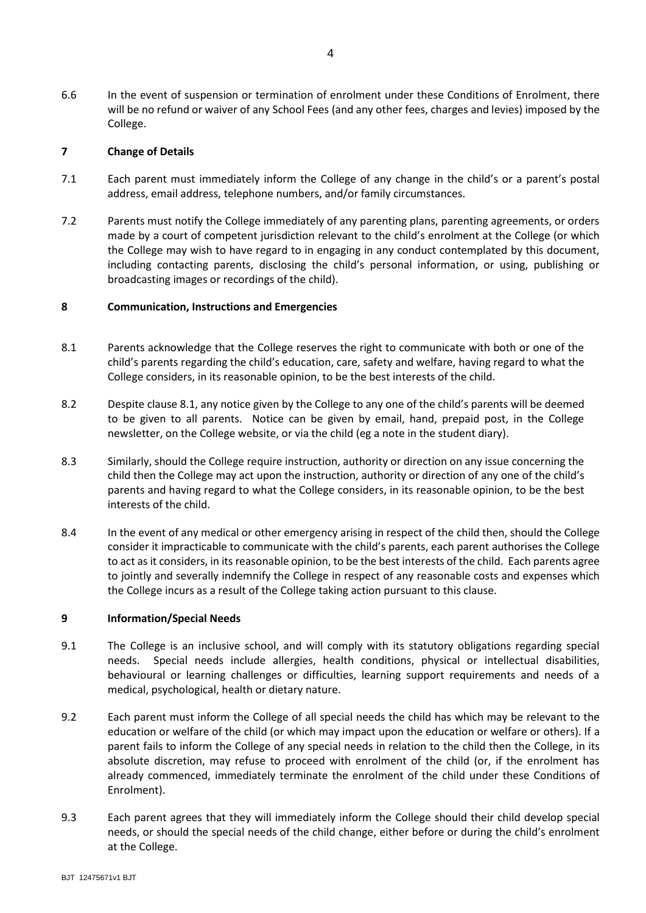6.6 In the event of suspension or termination of enrolment under these Conditions of Enrolment, there will be no refund or waiver of any School Fees (and any other fees, charges and levies) imposed by the College.

# **7 Change of Details**

- 7.1 Each parent must immediately inform the College of any change in the child's or a parent's postal address, email address, telephone numbers, and/or family circumstances.
- 7.2 Parents must notify the College immediately of any parenting plans, parenting agreements, or orders made by a court of competent jurisdiction relevant to the child's enrolment at the College (or which the College may wish to have regard to in engaging in any conduct contemplated by this document, including contacting parents, disclosing the child's personal information, or using, publishing or broadcasting images or recordings of the child).

### **8 Communication, Instructions and Emergencies**

- <span id="page-3-0"></span>8.1 Parents acknowledge that the College reserves the right to communicate with both or one of the child's parents regarding the child's education, care, safety and welfare, having regard to what the College considers, in its reasonable opinion, to be the best interests of the child.
- 8.2 Despite clause [8.1,](#page-3-0) any notice given by the College to any one of the child's parents will be deemed to be given to all parents. Notice can be given by email, hand, prepaid post, in the College newsletter, on the College website, or via the child (eg a note in the student diary).
- 8.3 Similarly, should the College require instruction, authority or direction on any issue concerning the child then the College may act upon the instruction, authority or direction of any one of the child's parents and having regard to what the College considers, in its reasonable opinion, to be the best interests of the child.
- 8.4 In the event of any medical or other emergency arising in respect of the child then, should the College consider it impracticable to communicate with the child's parents, each parent authorises the College to act as it considers, in its reasonable opinion, to be the best interests of the child. Each parents agree to jointly and severally indemnify the College in respect of any reasonable costs and expenses which the College incurs as a result of the College taking action pursuant to this clause.

#### **9 Information/Special Needs**

- 9.1 The College is an inclusive school, and will comply with its statutory obligations regarding special needs. Special needs include allergies, health conditions, physical or intellectual disabilities, behavioural or learning challenges or difficulties, learning support requirements and needs of a medical, psychological, health or dietary nature.
- 9.2 Each parent must inform the College of all special needs the child has which may be relevant to the education or welfare of the child (or which may impact upon the education or welfare or others). If a parent fails to inform the College of any special needs in relation to the child then the College, in its absolute discretion, may refuse to proceed with enrolment of the child (or, if the enrolment has already commenced, immediately terminate the enrolment of the child under these Conditions of Enrolment).
- 9.3 Each parent agrees that they will immediately inform the College should their child develop special needs, or should the special needs of the child change, either before or during the child's enrolment at the College.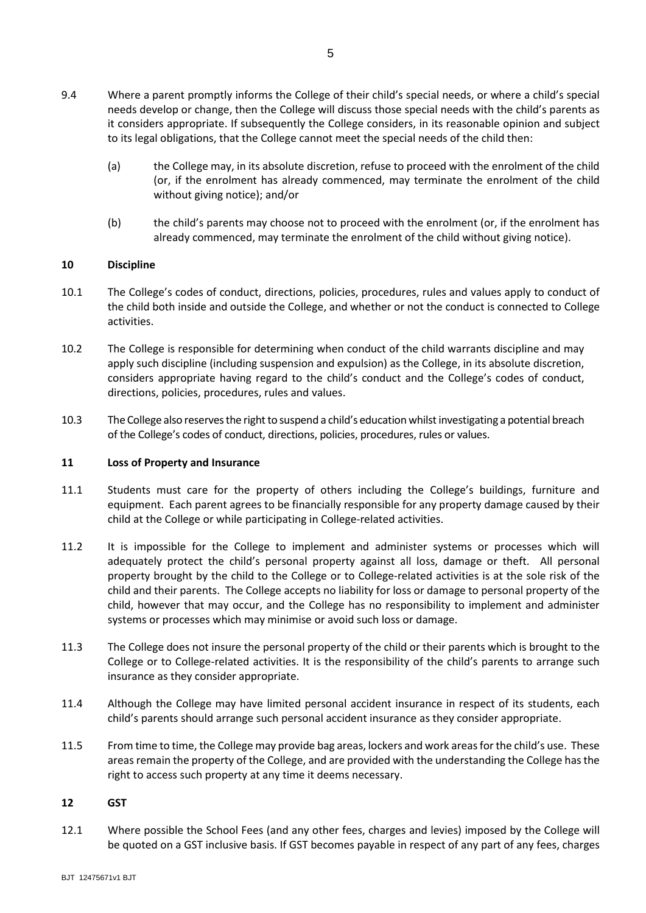5

- 9.4 Where a parent promptly informs the College of their child's special needs, or where a child's special needs develop or change, then the College will discuss those special needs with the child's parents as it considers appropriate. If subsequently the College considers, in its reasonable opinion and subject to its legal obligations, that the College cannot meet the special needs of the child then:
	- (a) the College may, in its absolute discretion, refuse to proceed with the enrolment of the child (or, if the enrolment has already commenced, may terminate the enrolment of the child without giving notice); and/or
	- (b) the child's parents may choose not to proceed with the enrolment (or, if the enrolment has already commenced, may terminate the enrolment of the child without giving notice).

## **10 Discipline**

- 10.1 The College's codes of conduct, directions, policies, procedures, rules and values apply to conduct of the child both inside and outside the College, and whether or not the conduct is connected to College activities.
- 10.2 The College is responsible for determining when conduct of the child warrants discipline and may apply such discipline (including suspension and expulsion) as the College, in its absolute discretion, considers appropriate having regard to the child's conduct and the College's codes of conduct, directions, policies, procedures, rules and values.
- 10.3 The College also reserves the right to suspend a child's education whilst investigating a potential breach of the College's codes of conduct, directions, policies, procedures, rules or values.

## **11 Loss of Property and Insurance**

- 11.1 Students must care for the property of others including the College's buildings, furniture and equipment. Each parent agrees to be financially responsible for any property damage caused by their child at the College or while participating in College-related activities.
- 11.2 It is impossible for the College to implement and administer systems or processes which will adequately protect the child's personal property against all loss, damage or theft. All personal property brought by the child to the College or to College-related activities is at the sole risk of the child and their parents. The College accepts no liability for loss or damage to personal property of the child, however that may occur, and the College has no responsibility to implement and administer systems or processes which may minimise or avoid such loss or damage.
- 11.3 The College does not insure the personal property of the child or their parents which is brought to the College or to College-related activities. It is the responsibility of the child's parents to arrange such insurance as they consider appropriate.
- 11.4 Although the College may have limited personal accident insurance in respect of its students, each child's parents should arrange such personal accident insurance as they consider appropriate.
- 11.5 From time to time, the College may provide bag areas, lockers and work areas for the child's use. These areas remain the property of the College, and are provided with the understanding the College has the right to access such property at any time it deems necessary.

## **12 GST**

12.1 Where possible the School Fees (and any other fees, charges and levies) imposed by the College will be quoted on a GST inclusive basis. If GST becomes payable in respect of any part of any fees, charges